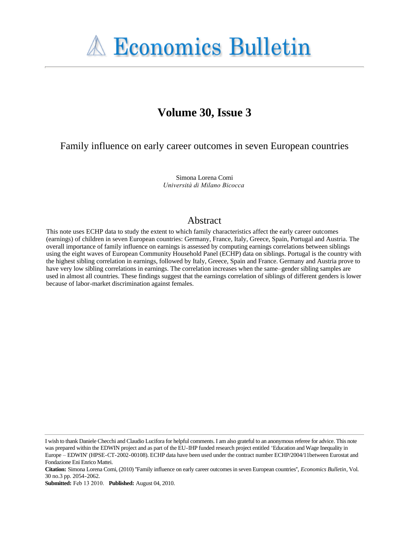

# **Volume 30, Issue 3**

Family influence on early career outcomes in seven European countries

Simona Lorena Comi *Università di Milano Bicocca*

# Abstract

This note uses ECHP data to study the extent to which family characteristics affect the early career outcomes (earnings) of children in seven European countries: Germany, France, Italy, Greece, Spain, Portugal and Austria. The overall importance of family influence on earnings is assessed by computing earnings correlations between siblings using the eight waves of European Community Household Panel (ECHP) data on siblings. Portugal is the country with the highest sibling correlation in earnings, followed by Italy, Greece, Spain and France. Germany and Austria prove to have very low sibling correlations in earnings. The correlation increases when the same–gender sibling samples are used in almost all countries. These findings suggest that the earnings correlation of siblings of different genders is lower because of labor-market discrimination against females.

I wish to thank Daniele Checchi and Claudio Lucifora for helpful comments. I am also grateful to an anonymous referee for advice. This note was prepared within the EDWIN project and as part of the EU-IHP funded research project entitled 'Education and Wage Inequality in Europe – EDWIN' (HPSE-CT-2002-00108). ECHP data have been used under the contract number ECHP/2004/11between Eurostat and Fondazione Eni Enrico Mattei.

**Citation:** Simona Lorena Comi, (2010) ''Family influence on early career outcomes in seven European countries'', *Economics Bulletin*, Vol. 30 no.3 pp. 2054-2062.

**Submitted:** Feb 13 2010. **Published:** August 04, 2010.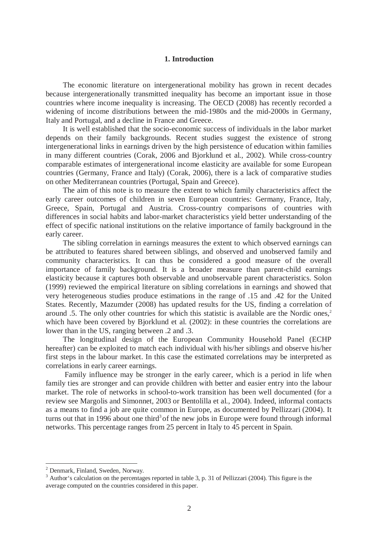# **1. Introduction**

The economic literature on intergenerational mobility has grown in recent decades because intergenerationally transmitted inequality has become an important issue in those countries where income inequality is increasing. The OECD (2008) has recently recorded a widening of income distributions between the mid-1980s and the mid-2000s in Germany, Italy and Portugal, and a decline in France and Greece.

It is well established that the socio-economic success of individuals in the labor market depends on their family backgrounds. Recent studies suggest the existence of strong intergenerational links in earnings driven by the high persistence of education within families in many different countries (Corak, 2006 and Bjorklund et al., 2002). While cross-country comparable estimates of intergenerational income elasticity are available for some European countries (Germany, France and Italy) (Corak, 2006), there is a lack of comparative studies on other Mediterranean countries (Portugal, Spain and Greece).

The aim of this note is to measure the extent to which family characteristics affect the early career outcomes of children in seven European countries: Germany, France, Italy, Greece, Spain, Portugal and Austria. Cross-country comparisons of countries with differences in social habits and labor-market characteristics yield better understanding of the effect of specific national institutions on the relative importance of family background in the early career.

The sibling correlation in earnings measures the extent to which observed earnings can be attributed to features shared between siblings, and observed and unobserved family and community characteristics. It can thus be considered a good measure of the overall importance of family background. It is a broader measure than parent-child earnings elasticity because it captures both observable and unobservable parent characteristics. Solon (1999) reviewed the empirical literature on sibling correlations in earnings and showed that very heterogeneous studies produce estimations in the range of .15 and .42 for the United States. Recently, Mazumder (2008) has updated results for the US, finding a correlation of around .5. The only other countries for which this statistic is available are the Nordic ones, $2$ which have been covered by Bjorklund et al. (2002): in these countries the correlations are lower than in the US, ranging between .2 and .3.

The longitudinal design of the European Community Household Panel (ECHP hereafter) can be exploited to match each individual with his/her siblings and observe his/her first steps in the labour market. In this case the estimated correlations may be interpreted as correlations in early career earnings.

 Family influence may be stronger in the early career, which is a period in life when family ties are stronger and can provide children with better and easier entry into the labour market. The role of networks in school-to-work transition has been well documented (for a review see Margolis and Simonnet, 2003 or Bentolilla et al., 2004). Indeed, informal contacts as a means to find a job are quite common in Europe, as documented by Pellizzari (2004). It turns out that in 1996 about one third<sup>3</sup> of the new jobs in Europe were found through informal networks. This percentage ranges from 25 percent in Italy to 45 percent in Spain.

 $\overline{a}$ 

<sup>&</sup>lt;sup>2</sup> Denmark, Finland, Sweden, Norway.

<sup>&</sup>lt;sup>3</sup> Author's calculation on the percentages reported in table 3, p. 31 of Pellizzari (2004). This figure is the average computed on the countries considered in this paper.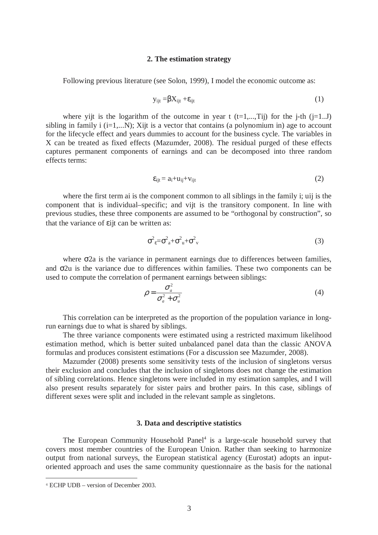#### **2. The estimation strategy**

Following previous literature (see Solon, 1999), I model the economic outcome as:

$$
y_{ijt} = \beta X_{ijt} + \varepsilon_{ijt}
$$
 (1)

where yijt is the logarithm of the outcome in year t  $(t=1,...,Ti)$  for the j-th  $(i=1..J)$ sibling in family i  $(i=1,...N)$ ; Xijt is a vector that contains (a polynomium in) age to account for the lifecycle effect and years dummies to account for the business cycle. The variables in X can be treated as fixed effects (Mazumder, 2008). The residual purged of these effects captures permanent components of earnings and can be decomposed into three random effects terms:

$$
\varepsilon_{ijt} = a_i + u_{ij} + v_{ijt} \tag{2}
$$

where the first term ai is the component common to all siblings in the family i; uij is the component that is individual–specific; and vijt is the transitory component. In line with previous studies, these three components are assumed to be "orthogonal by construction", so that the variance of εijt can be written as:

$$
\sigma_z^2 = \sigma_a^2 + \sigma_u^2 + \sigma_v^2 \tag{3}
$$

where  $\sigma$ 2a is the variance in permanent earnings due to differences between families, and σ2u is the variance due to differences within families. These two components can be used to compute the correlation of permanent earnings between siblings:

$$
\rho = \frac{\sigma_a^2}{\sigma_a^2 + \sigma_u^2} \tag{4}
$$

This correlation can be interpreted as the proportion of the population variance in longrun earnings due to what is shared by siblings.

The three variance components were estimated using a restricted maximum likelihood estimation method, which is better suited unbalanced panel data than the classic ANOVA formulas and produces consistent estimations (For a discussion see Mazumder, 2008).

Mazumder (2008) presents some sensitivity tests of the inclusion of singletons versus their exclusion and concludes that the inclusion of singletons does not change the estimation of sibling correlations. Hence singletons were included in my estimation samples, and I will also present results separately for sister pairs and brother pairs. In this case, siblings of different sexes were split and included in the relevant sample as singletons.

## **3. Data and descriptive statistics**

The European Community Household Panel<sup>4</sup> is a large-scale household survey that covers most member countries of the European Union. Rather than seeking to harmonize output from national surveys, the European statistical agency (Eurostat) adopts an inputoriented approach and uses the same community questionnaire as the basis for the national

 $\overline{a}$ 

<sup>4</sup> ECHP UDB – version of December 2003.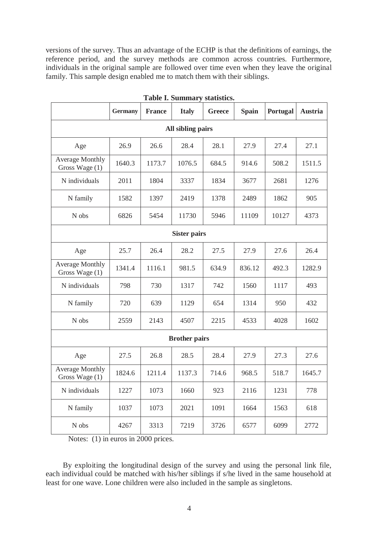versions of the survey. Thus an advantage of the ECHP is that the definitions of earnings, the reference period, and the survey methods are common across countries. Furthermore, individuals in the original sample are followed over time even when they leave the original family. This sample design enabled me to match them with their siblings.

| таріс п раціння у                        |                |               |              |               |              |          |         |  |  |  |  |
|------------------------------------------|----------------|---------------|--------------|---------------|--------------|----------|---------|--|--|--|--|
|                                          | <b>Germany</b> | <b>France</b> | <b>Italy</b> | <b>Greece</b> | <b>Spain</b> | Portugal | Austria |  |  |  |  |
| All sibling pairs                        |                |               |              |               |              |          |         |  |  |  |  |
| Age                                      | 26.9           | 26.6          | 28.4         | 28.1          | 27.9         | 27.4     | 27.1    |  |  |  |  |
| <b>Average Monthly</b><br>Gross Wage (1) | 1640.3         | 1173.7        | 1076.5       | 684.5         | 914.6        | 508.2    | 1511.5  |  |  |  |  |
| N individuals                            | 2011           | 1804          | 3337         | 1834          | 3677         | 2681     | 1276    |  |  |  |  |
| N family                                 | 1582           | 1397          | 2419         | 1378          | 2489         | 1862     | 905     |  |  |  |  |
| N obs                                    | 6826           | 5454          | 11730        | 5946          | 11109        | 10127    | 4373    |  |  |  |  |
| <b>Sister pairs</b>                      |                |               |              |               |              |          |         |  |  |  |  |
| Age                                      | 25.7           | 26.4          | 28.2         | 27.5          | 27.9         | 27.6     | 26.4    |  |  |  |  |
| <b>Average Monthly</b><br>Gross Wage (1) | 1341.4         | 1116.1        | 981.5        | 634.9         | 836.12       | 492.3    | 1282.9  |  |  |  |  |
| N individuals                            | 798            | 730           | 1317         | 742           | 1560         | 1117     | 493     |  |  |  |  |
| N family                                 | 720            | 639           | 1129         | 654           | 1314         | 950      | 432     |  |  |  |  |
| N obs                                    | 2559           | 2143          | 4507         | 2215          | 4533         | 4028     | 1602    |  |  |  |  |
| <b>Brother pairs</b>                     |                |               |              |               |              |          |         |  |  |  |  |
| Age                                      | 27.5           | 26.8          | 28.5         | 28.4          | 27.9         | 27.3     | 27.6    |  |  |  |  |
| <b>Average Monthly</b><br>Gross Wage (1) | 1824.6         | 1211.4        | 1137.3       | 714.6         | 968.5        | 518.7    | 1645.7  |  |  |  |  |
| N individuals                            | 1227           | 1073          | 1660         | 923           | 2116         | 1231     | 778     |  |  |  |  |
| N family                                 | 1037           | 1073          | 2021         | 1091          | 1664         | 1563     | 618     |  |  |  |  |
| N obs                                    | 4267           | 3313          | 7219         | 3726          | 6577         | 6099     | 2772    |  |  |  |  |

**Table I. Summary statistics.** 

Notes: (1) in euros in 2000 prices.

By exploiting the longitudinal design of the survey and using the personal link file, each individual could be matched with his/her siblings if s/he lived in the same household at least for one wave. Lone children were also included in the sample as singletons.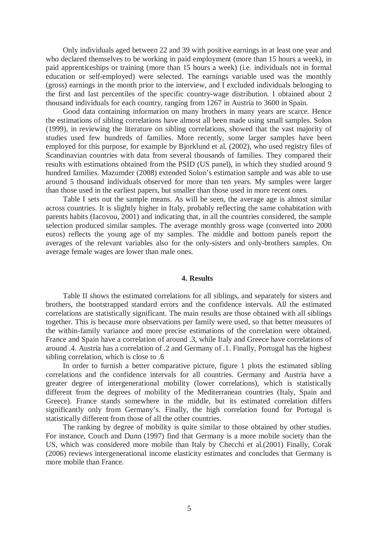Only individuals aged between 22 and 39 with positive earnings in at least one year and who declared themselves to be working in paid employment (more than 15 hours a week), in paid apprenticeships or training (more than 15 hours a week) (i.e. individuals not in formal education or self-employed) were selected. The earnings variable used was the monthly (gross) earnings in the month prior to the interview, and I excluded individuals belonging to the first and last percentiles of the specific country-wage distribution. I obtained about 2 thousand individuals for each country, ranging from 1267 in Austria to 3600 in Spain.

Good data containing information on many brothers in many years are scarce. Hence the estimations of sibling correlations have almost all been made using small samples. Solon (1999), in reviewing the literature on sibling correlations, showed that the vast majority of studies used few hundreds of families. More recently, some larger samples have been employed for this purpose, for example by Bjorklund et al. (2002), who used registry files of Scandinavian countries with data from several thousands of families. They compared their results with estimations obtained from the PSID (US panel), in which they studied around 9 hundred families. Mazumder (2008) extended Solon's estimation sample and was able to use around 5 thousand individuals observed for more than ten years. My samples were larger than those used in the earliest papers, but smaller than those used in more recent ones.

Table I sets out the sample means. As will be seen, the average age is almost similar across countries. It is slightly higher in Italy, probably reflecting the same cohabitation with parents habits (Iacovou, 2001) and indicating that, in all the countries considered, the sample selection produced similar samples. The average monthly gross wage (converted into 2000 euros) reflects the young age of my samples. The middle and bottom panels report the averages of the relevant variables also for the only-sisters and only-brothers samples. On average female wages are lower than male ones.

#### **4. Results**

Table II shows the estimated correlations for all siblings, and separately for sisters and brothers, the bootstrapped standard errors and the confidence intervals. All the estimated correlations are statistically significant. The main results are those obtained with all siblings together. This is because more observations per family were used, so that better measures of the within-family variance and more precise estimations of the correlation were obtained. France and Spain have a correlation of around .3, while Italy and Greece have correlations of around .4. Austria has a correlation of .2 and Germany of .1. Finally, Portugal has the highest sibling correlation, which is close to .6

In order to furnish a better comparative picture, figure 1 plots the estimated sibling correlations and the confidence intervals for all countries. Germany and Austria have a greater degree of intergenerational mobility (lower correlations), which is statistically different from the degrees of mobility of the Mediterranean countries (Italy, Spain and Greece). France stands somewhere in the middle, but its estimated correlation differs significantly only from Germany's. Finally, the high correlation found for Portugal is statistically different from those of all the other countries.

The ranking by degree of mobility is quite similar to those obtained by other studies. For instance, Couch and Dunn (1997) find that Germany is a more mobile society than the US, which was considered more mobile than Italy by Checchi et al.(2001) Finally, Corak (2006) reviews intergenerational income elasticity estimates and concludes that Germany is more mobile than France.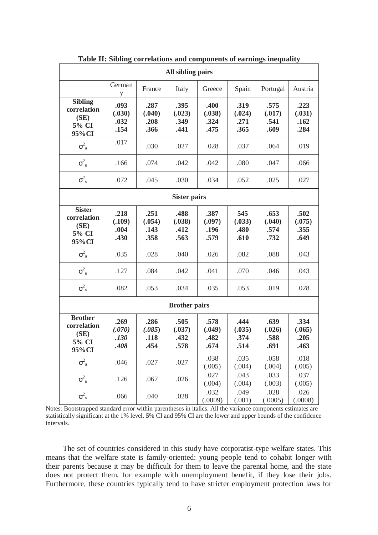| All sibling pairs                                        |                                |                                |                                |                                |                                |                                |                                |  |  |  |  |
|----------------------------------------------------------|--------------------------------|--------------------------------|--------------------------------|--------------------------------|--------------------------------|--------------------------------|--------------------------------|--|--|--|--|
|                                                          | German<br>y                    | France                         | Italy                          | Greece                         | Spain                          | Portugal                       | Austria                        |  |  |  |  |
| <b>Sibling</b><br>correlation<br>(SE)<br>5% CI<br>95%CI  | .093<br>(.030)<br>.032<br>.154 | .287<br>(.040)<br>.208<br>.366 | .395<br>(.023)<br>.349<br>.441 | .400<br>(.038)<br>.324<br>.475 | .319<br>(.024)<br>.271<br>.365 | .575<br>(.017)<br>.541<br>.609 | .223<br>(.031)<br>.162<br>.284 |  |  |  |  |
| $\sigma^2_{\rm a}$                                       | .017                           | .030                           | .027                           | .028                           | .037                           | .064                           | .019                           |  |  |  |  |
| $\sigma_{u}^{2}$                                         | .166                           | .074                           | .042                           | .042                           | .080                           | .047                           | .066                           |  |  |  |  |
| $\sigma_{v}^{2}$                                         | .072                           | .045                           | .030                           | .034                           | .052                           | .025                           | .027                           |  |  |  |  |
| <b>Sister pairs</b>                                      |                                |                                |                                |                                |                                |                                |                                |  |  |  |  |
| <b>Sister</b><br>correlation<br>(SE)<br>5% CI<br>95%CI   | .218<br>(.109)<br>.004<br>.430 | .251<br>(.054)<br>.143<br>.358 | .488<br>(.038)<br>.412<br>.563 | .387<br>(.097)<br>.196<br>.579 | 545<br>(.033)<br>.480<br>.610  | .653<br>(.040)<br>.574<br>.732 | .502<br>(.075)<br>.355<br>.649 |  |  |  |  |
| $\sigma^2_{\rm a}$                                       | .035                           | .028                           | .040                           | .026                           | .082                           | .088                           | .043                           |  |  |  |  |
| $\sigma_{\rm u}^2$                                       | .127                           | .084                           | .042                           | .041                           | .070                           | .046                           | .043                           |  |  |  |  |
| $\sigma_{v}^{2}$                                         | .082                           | .053                           | .034                           | .035                           | .053                           | .019                           | .028                           |  |  |  |  |
| <b>Brother pairs</b>                                     |                                |                                |                                |                                |                                |                                |                                |  |  |  |  |
| <b>Brother</b><br>correlation<br>(SE)<br>5% CI<br>95% CI | .269<br>(.070)<br>.130<br>.408 | .286<br>(.085)<br>.118<br>.454 | .505<br>(.037)<br>.432<br>.578 | .578<br>(.049)<br>.482<br>.674 | .444<br>(.035)<br>.374<br>.514 | .639<br>(.026)<br>.588<br>.691 | .334<br>(.065)<br>.205<br>.463 |  |  |  |  |
| $\sigma^2_{\rm a}$                                       | .046                           | .027                           | .027                           | .038<br>(.005)                 | .035<br>(.004)                 | .058<br>(.004)                 | .018<br>(.005)                 |  |  |  |  |
| $\sigma_{\rm u}^2$                                       | .126                           | .067                           | .026                           | .027<br>(.004)                 | .043<br>(.004)                 | .033<br>(.003)                 | .037<br>(.005)                 |  |  |  |  |
| $\sigma_{v}^{2}$                                         | .066                           | .040                           | .028                           | .032<br>(.0009)                | .049<br>(.001)                 | .028<br>(.0005)                | .026<br>(.0008)                |  |  |  |  |

**Table II: Sibling correlations and components of earnings inequality** 

Notes: Bootstrapped standard error within parentheses in italics. All the variance components estimates are statistically significant at the 1% level. **5**% CI and 95% CI are the lower and upper bounds of the confidence intervals.

The set of countries considered in this study have corporatist-type welfare states. This means that the welfare state is family-oriented: young people tend to cohabit longer with their parents because it may be difficult for them to leave the parental home, and the state does not protect them, for example with unemployment benefit, if they lose their jobs. Furthermore, these countries typically tend to have stricter employment protection laws for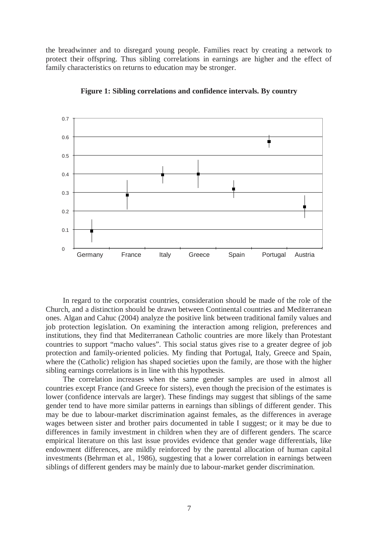the breadwinner and to disregard young people. Families react by creating a network to protect their offspring. Thus sibling correlations in earnings are higher and the effect of family characteristics on returns to education may be stronger.



**Figure 1: Sibling correlations and confidence intervals. By country**

In regard to the corporatist countries, consideration should be made of the role of the Church, and a distinction should be drawn between Continental countries and Mediterranean ones. Algan and Cahuc (2004) analyze the positive link between traditional family values and job protection legislation. On examining the interaction among religion, preferences and institutions, they find that Mediterranean Catholic countries are more likely than Protestant countries to support "macho values". This social status gives rise to a greater degree of job protection and family-oriented policies. My finding that Portugal, Italy, Greece and Spain, where the (Catholic) religion has shaped societies upon the family, are those with the higher sibling earnings correlations is in line with this hypothesis.

The correlation increases when the same gender samples are used in almost all countries except France (and Greece for sisters), even though the precision of the estimates is lower (confidence intervals are larger). These findings may suggest that siblings of the same gender tend to have more similar patterns in earnings than siblings of different gender. This may be due to labour-market discrimination against females, as the differences in average wages between sister and brother pairs documented in table I suggest; or it may be due to differences in family investment in children when they are of different genders. The scarce empirical literature on this last issue provides evidence that gender wage differentials, like endowment differences, are mildly reinforced by the parental allocation of human capital investments (Behrman et al., 1986), suggesting that a lower correlation in earnings between siblings of different genders may be mainly due to labour-market gender discrimination.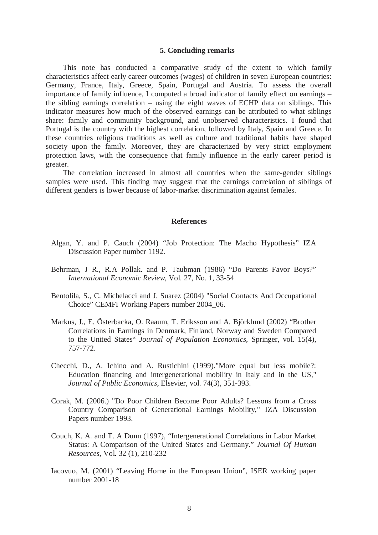## **5. Concluding remarks**

This note has conducted a comparative study of the extent to which family characteristics affect early career outcomes (wages) of children in seven European countries: Germany, France, Italy, Greece, Spain, Portugal and Austria. To assess the overall importance of family influence, I computed a broad indicator of family effect on earnings – the sibling earnings correlation – using the eight waves of ECHP data on siblings. This indicator measures how much of the observed earnings can be attributed to what siblings share: family and community background, and unobserved characteristics. I found that Portugal is the country with the highest correlation, followed by Italy, Spain and Greece. In these countries religious traditions as well as culture and traditional habits have shaped society upon the family. Moreover, they are characterized by very strict employment protection laws, with the consequence that family influence in the early career period is greater.

The correlation increased in almost all countries when the same-gender siblings samples were used. This finding may suggest that the earnings correlation of siblings of different genders is lower because of labor-market discrimination against females.

#### **References**

- Algan, Y. and P. Cauch (2004) "Job Protection: The Macho Hypothesis" IZA Discussion Paper number 1192.
- Behrman, J R., R.A Pollak. and P. Taubman (1986) "Do Parents Favor Boys?" *International Economic Review*, Vol. 27, No. 1, 33-54
- Bentolila, S., C. Michelacci and J. Suarez (2004) "Social Contacts And Occupational Choice" CEMFI Working Papers number 2004\_06.
- Markus, J., E. Österbacka, O. Raaum, T. Eriksson and A. Björklund (2002) "Brother Correlations in Earnings in Denmark, Finland, Norway and Sweden Compared to the United States" *Journal of Population Economics*, Springer, vol. 15(4), 757-772.
- Checchi, D., A. Ichino and A. Rustichini (1999)."More equal but less mobile?: Education financing and intergenerational mobility in Italy and in the US," *Journal of Public Economics*, Elsevier, vol. 74(3), 351-393.
- Corak, M. (2006.) "Do Poor Children Become Poor Adults? Lessons from a Cross Country Comparison of Generational Earnings Mobility," IZA Discussion Papers number 1993.
- Couch, K. A. and T. A Dunn (1997), "Intergenerational Correlations in Labor Market Status: A Comparison of the United States and Germany." *Journal Of Human Resources*, Vol. 32 (1), 210-232
- Iacovuo, M. (2001) "Leaving Home in the European Union", ISER working paper number 2001-18